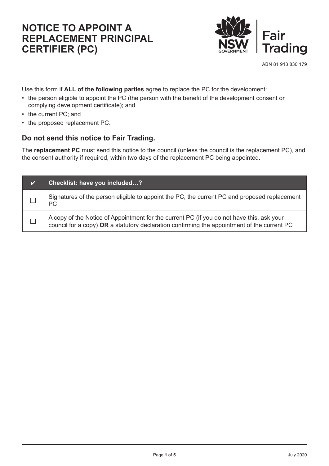# **Notice to appoint a replacement Principal Certifier (PC)**



Use this form if **ALL of the following parties** agree to replace the PC for the development:

- the person eligible to appoint the PC (the person with the benefit of the development consent or complying development certificate); and
- the current PC; and
- the proposed replacement PC.

### **Do not send this notice to Fair Trading.**

The **replacement PC** must send this notice to the council (unless the council is the replacement PC), and the consent authority if required, within two days of the replacement PC being appointed.

| $\boldsymbol{\sigma}$ | Checklist: have you included?                                                                                                                                                            |
|-----------------------|------------------------------------------------------------------------------------------------------------------------------------------------------------------------------------------|
|                       | Signatures of the person eligible to appoint the PC, the current PC and proposed replacement<br>РC                                                                                       |
|                       | A copy of the Notice of Appointment for the current PC (if you do not have this, ask your<br>council for a copy) OR a statutory declaration confirming the appointment of the current PC |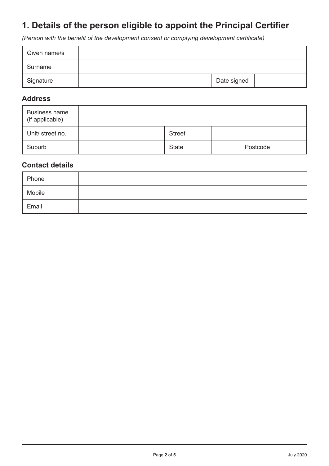## **1. Details of the person eligible to appoint the Principal Certifier**

*(Person with the benefit of the development consent or complying development certificate)*

| Given name/s |             |  |
|--------------|-------------|--|
| Surname      |             |  |
| Signature    | Date signed |  |

#### **Address**

| <b>Business name</b><br>(if applicable) |               |          |  |
|-----------------------------------------|---------------|----------|--|
| Unit/ street no.                        | <b>Street</b> |          |  |
| Suburb                                  | <b>State</b>  | Postcode |  |

## **Contact details**

| Phone  |  |
|--------|--|
| Mobile |  |
| Email  |  |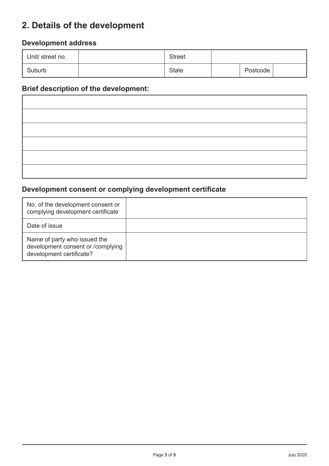## **2. Details of the development**

## **Development address**

| Unit/ street no. | <b>Street</b> |          |  |  |
|------------------|---------------|----------|--|--|
| Suburb           | <b>State</b>  | Postcode |  |  |

### **Brief description of the development:**

## **Development consent or complying development certificate**

| No. of the development consent or<br>complying development certificate                        |  |
|-----------------------------------------------------------------------------------------------|--|
| Date of issue                                                                                 |  |
| Name of party who issued the<br>development consent or /complying<br>development certificate? |  |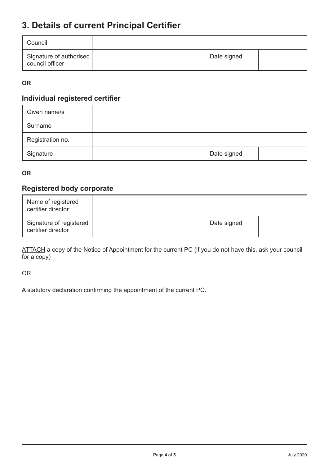## **3. Details of current Principal Certifier**

| Council                                    |             |  |
|--------------------------------------------|-------------|--|
| Signature of authorised<br>council officer | Date signed |  |

#### **OR**

### **Individual registered certifier**

| Given name/s     |  |             |  |
|------------------|--|-------------|--|
| Surname          |  |             |  |
| Registration no. |  |             |  |
| Signature        |  | Date signed |  |

#### **OR**

## **Registered body corporate**

| Name of registered<br>certifier director      |             |  |
|-----------------------------------------------|-------------|--|
| Signature of registered<br>certifier director | Date signed |  |

ATTACH a copy of the Notice of Appointment for the current PC (if you do not have this, ask your council for a copy)

OR

A statutory declaration confirming the appointment of the current PC.